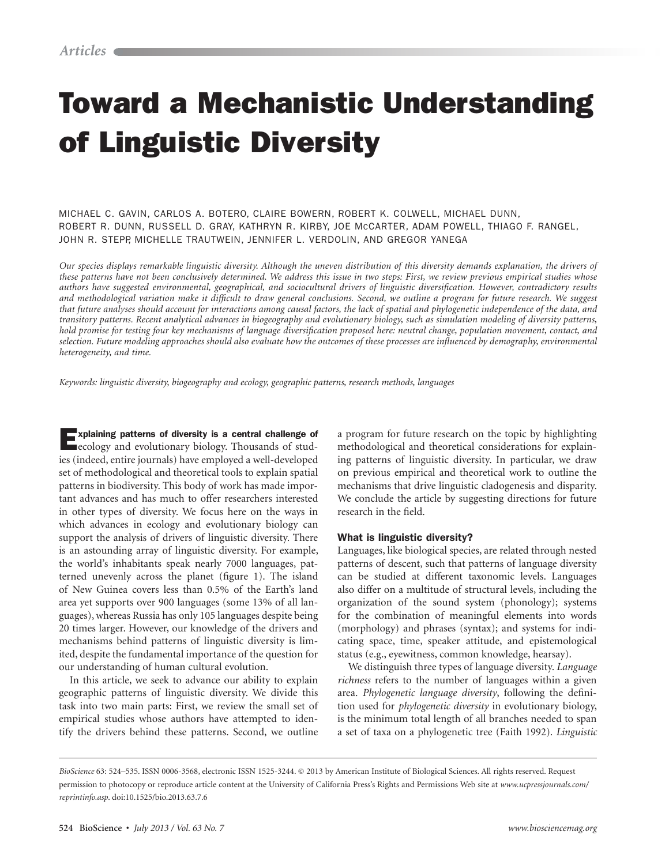# Toward a Mechanistic Understanding of Linguistic Diversity

MICHAEL C. GAVIN, CARLOS A. BOTERO, CLAIRE BOWERN, ROBERT K. COLWELL, MICHAEL DUNN, ROBERT R. DUNN, RUSSELL D. GRAY, KATHRYN R. KIRBY, JOE MCCARTER, ADAM POWELL, THIAGO F. RANGEL, JOHN R. STEPP, MICHELLE TRAUTWEIN, JENNIFER L. VERDOLIN, AND GREGOR YANEGA

*Our species displays remarkable linguistic diversity. Although the uneven distribution of this diversity demands explanation, the drivers of these patterns have not been conclusively determined. We address this issue in two steps: First, we review previous empirical studies whose authors have suggested environmental, geographical, and sociocultural drivers of linguistic diversification. However, contradictory results and methodological variation make it difficult to draw general conclusions. Second, we outline a program for future research. We suggest that future analyses should account for interactions among causal factors, the lack of spatial and phylogenetic independence of the data, and transitory patterns. Recent analytical advances in biogeography and evolutionary biology, such as simulation modeling of diversity patterns, hold promise for testing four key mechanisms of language diversification proposed here: neutral change, population movement, contact, and selection. Future modeling approaches should also evaluate how the outcomes of these processes are influenced by demography, environmental heterogeneity, and time.*

*Keywords: linguistic diversity, biogeography and ecology, geographic patterns, research methods, languages*

Explaining patterns of diversity is a central challenge of ecology and evolutionary biology. Thousands of studies (indeed, entire journals) have employed a well-developed set of methodological and theoretical tools to explain spatial patterns in biodiversity. This body of work has made important advances and has much to offer researchers interested in other types of diversity. We focus here on the ways in which advances in ecology and evolutionary biology can support the analysis of drivers of linguistic diversity. There is an astounding array of linguistic diversity. For example, the world's inhabitants speak nearly 7000 languages, patterned unevenly across the planet (figure 1). The island of New Guinea covers less than 0.5% of the Earth's land area yet supports over 900 languages (some 13% of all languages), whereas Russia has only 105 languages despite being 20 times larger. However, our knowledge of the drivers and mechanisms behind patterns of linguistic diversity is limited, despite the fundamental importance of the question for our understanding of human cultural evolution.

In this article, we seek to advance our ability to explain geographic patterns of linguistic diversity. We divide this task into two main parts: First, we review the small set of empirical studies whose authors have attempted to identify the drivers behind these patterns. Second, we outline

a program for future research on the topic by highlighting methodological and theoretical considerations for explaining patterns of linguistic diversity. In particular, we draw on previous empirical and theoretical work to outline the mechanisms that drive linguistic cladogenesis and disparity. We conclude the article by suggesting directions for future research in the field.

## What is linguistic diversity?

Languages, like biological species, are related through nested patterns of descent, such that patterns of language diversity can be studied at different taxonomic levels. Languages also differ on a multitude of structural levels, including the organization of the sound system (phonology); systems for the combination of meaningful elements into words ( morphology) and phrases (syntax); and systems for indicating space, time, speaker attitude, and epistemological status (e.g., eyewitness, common knowledge, hearsay).

We distinguish three types of language diversity. *Language richness* refers to the number of languages within a given area. *Phylogenetic language diversity*, following the definition used for *phylogenetic diversity* in evolutionary biology, is the minimum total length of all branches needed to span a set of taxa on a phylogenetic tree (Faith 1992). *Linguistic* 

*BioScience* 63: 524–535. ISSN 0006-3568, electronic ISSN 1525-3244. © 2013 by American Institute of Biological Sciences. All rights reserved. Request permission to photocopy or reproduce article content at the University of California Press's Rights and Permissions Web site at *www.ucpressjournals.com/ reprintinfo.asp*. doi:10.1525/bio.2013.63.7.6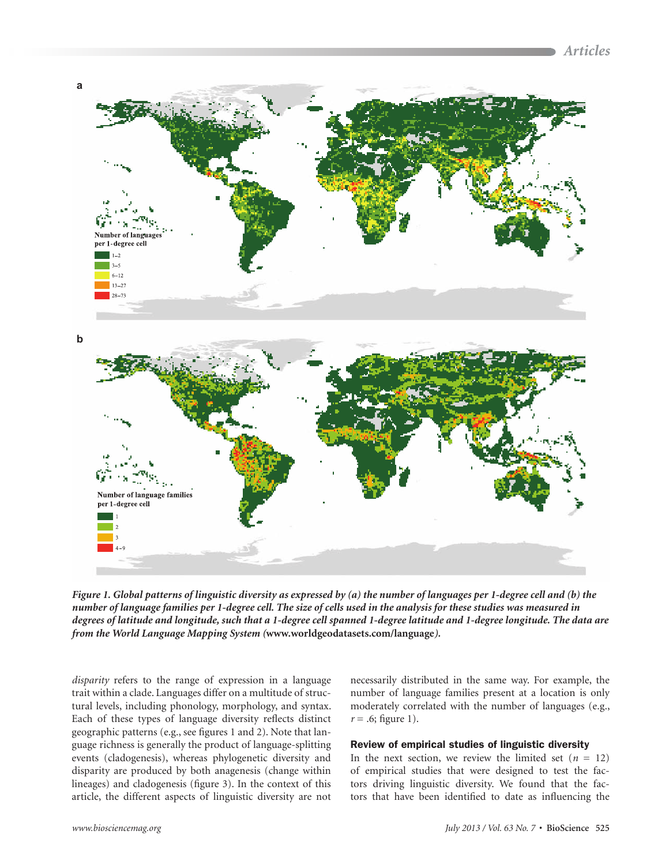

*Figure 1. Global patterns of linguistic diversity as expressed by (a) the number of languages per 1-degree cell and (b) the number of language families per 1-degree cell. The size of cells used in the analysis for these studies was measured in degrees of latitude and longitude, such that a 1-degree cell spanned 1-degree latitude and 1-degree longitude. The data are from the World Language Mapping System (***www.worldgeodatasets.com/language***).*

*disparity* refers to the range of expression in a language trait within a clade. Languages differ on a multitude of structural levels, including phonology, morphology, and syntax. Each of these types of language diversity reflects distinct geographic patterns (e.g., see figures 1 and 2). Note that language richness is generally the product of language-splitting events (cladogenesis), whereas phylogenetic diversity and disparity are produced by both anagenesis (change within lineages) and cladogenesis (figure 3). In the context of this article, the different aspects of linguistic diversity are not

necessarily distributed in the same way. For example, the number of language families present at a location is only moderately correlated with the number of languages (e.g.,  $r = .6$ ; figure 1).

## Review of empirical studies of linguistic diversity

In the next section, we review the limited set  $(n = 12)$ of empirical studies that were designed to test the factors driving linguistic diversity. We found that the factors that have been identified to date as influencing the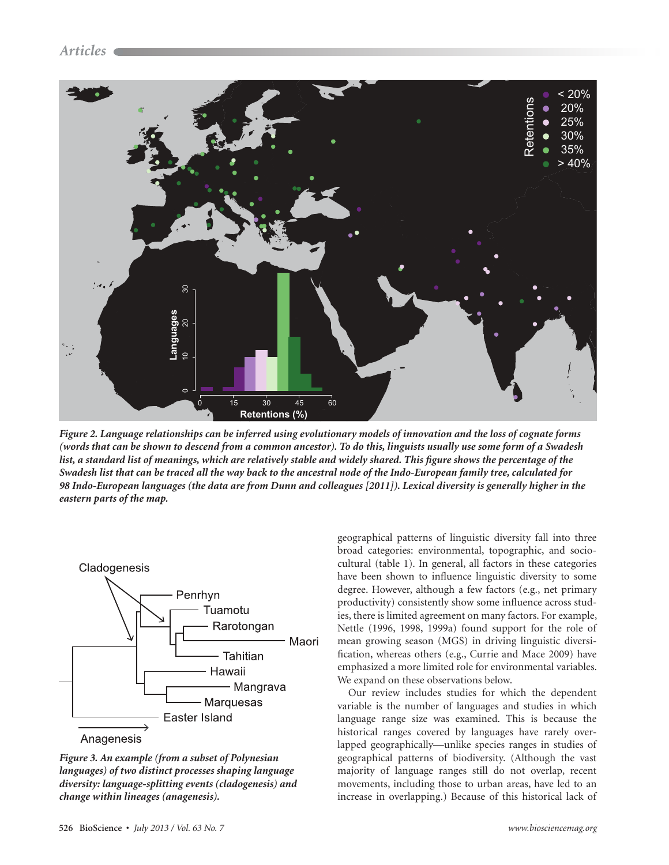

*Figure 2. Language relationships can be inferred using evolutionary models of innovation and the loss of cognate forms (words that can be shown to descend from a common ancestor). To do this, linguists usually use some form of a Swadesh*  list, a standard list of meanings, which are relatively stable and widely shared. This figure shows the percentage of the *Swadesh list that can be traced all the way back to the ancestral node of the Indo-European family tree, calculated for 98 Indo-European languages (the data are from Dunn and colleagues [2011]). Lexical diversity is generally higher in the eastern parts of the map.*



*Figure 3. An example (from a subset of Polynesian languages) of two distinct processes shaping language diversity: language-splitting events (cladogenesis) and change within lineages (anagenesis).*

geographical patterns of linguistic diversity fall into three broad categories: environmental, topographic, and sociocultural (table 1). In general, all factors in these categories have been shown to influence linguistic diversity to some degree. However, although a few factors (e.g., net primary productivity) consistently show some influence across studies, there is limited agreement on many factors. For example, Nettle (1996, 1998, 1999a) found support for the role of mean growing season (MGS) in driving linguistic diversification, whereas others (e.g., Currie and Mace 2009) have emphasized a more limited role for environmental variables. We expand on these observations below.

Our review includes studies for which the dependent variable is the number of languages and studies in which language range size was examined. This is because the historical ranges covered by languages have rarely overlapped geographically—unlike species ranges in studies of geographical patterns of biodiversity. (Although the vast majority of language ranges still do not overlap, recent movements, including those to urban areas, have led to an increase in overlapping.) Because of this historical lack of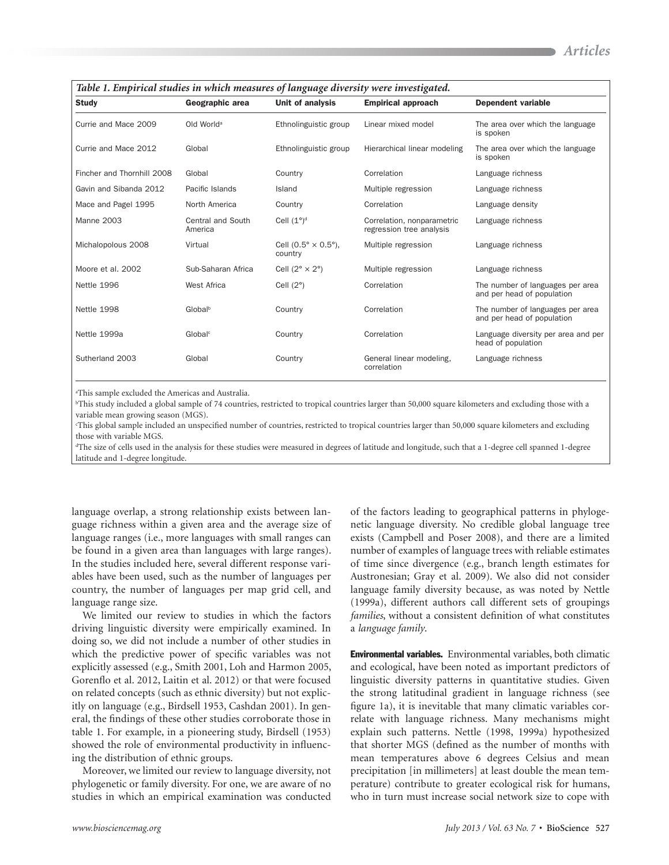| <b>Study</b>               | Geographic area                     | Unit of analysis                                     | <b>Empirical approach</b>                              | <b>Dependent variable</b>                                      |
|----------------------------|-------------------------------------|------------------------------------------------------|--------------------------------------------------------|----------------------------------------------------------------|
| Currie and Mace 2009       | Old World <sup>a</sup>              | Ethnolinguistic group                                | Linear mixed model                                     | The area over which the language<br>is spoken                  |
| Currie and Mace 2012       | Global                              | Ethnolinguistic group                                | Hierarchical linear modeling                           | The area over which the language<br>is spoken                  |
| Fincher and Thornhill 2008 | Global                              | Country                                              | Correlation                                            | Language richness                                              |
| Gavin and Sibanda 2012     | Pacific Islands                     | Island                                               | Multiple regression                                    | Language richness                                              |
| Mace and Pagel 1995        | North America                       | Country                                              | Correlation                                            | Language density                                               |
| <b>Manne 2003</b>          | <b>Central and South</b><br>America | Cell $(1^{\circ})^d$                                 | Correlation, nonparametric<br>regression tree analysis | Language richness                                              |
| Michalopolous 2008         | Virtual                             | Cell $(0.5^{\circ} \times 0.5^{\circ})$ ,<br>country | Multiple regression                                    | Language richness                                              |
| Moore et al. 2002          | Sub-Saharan Africa                  | Cell $(2^{\circ} \times 2^{\circ})$                  | Multiple regression                                    | Language richness                                              |
| Nettle 1996                | <b>West Africa</b>                  | Cell $(2^{\circ})$                                   | Correlation                                            | The number of languages per area<br>and per head of population |
| Nettle 1998                | Global <sup>b</sup>                 | Country                                              | Correlation                                            | The number of languages per area<br>and per head of population |
| Nettle 1999a               | Global <sup>c</sup>                 | Country                                              | Correlation                                            | Language diversity per area and per<br>head of population      |
| Sutherland 2003            | Global                              | Country                                              | General linear modeling,<br>correlation                | Language richness                                              |

a This sample excluded the Americas and Australia.

bThis study included a global sample of 74 countries, restricted to tropical countries larger than 50,000 square kilometers and excluding those with a variable mean growing season (MGS).

c This global sample included an unspecified number of countries, restricted to tropical countries larger than 50,000 square kilometers and excluding those with variable MGS.

dThe size of cells used in the analysis for these studies were measured in degrees of latitude and longitude, such that a 1-degree cell spanned 1-degree latitude and 1-degree longitude.

language overlap, a strong relationship exists between language richness within a given area and the average size of language ranges (i.e., more languages with small ranges can be found in a given area than languages with large ranges). In the studies included here, several different response variables have been used, such as the number of languages per country, the number of languages per map grid cell, and language range size.

We limited our review to studies in which the factors driving linguistic diversity were empirically examined. In doing so, we did not include a number of other studies in which the predictive power of specific variables was not explicitly assessed (e.g., Smith 2001, Loh and Harmon 2005, Gorenflo et al. 2012, Laitin et al. 2012) or that were focused on related concepts (such as ethnic diversity) but not explicitly on language (e.g., Birdsell 1953, Cashdan 2001). In general, the findings of these other studies corroborate those in table 1. For example, in a pioneering study, Birdsell (1953) showed the role of environmental productivity in influencing the distribution of ethnic groups.

Moreover, we limited our review to language diversity, not phylogenetic or family diversity. For one, we are aware of no studies in which an empirical examination was conducted of the factors leading to geographical patterns in phylogenetic language diversity. No credible global language tree exists (Campbell and Poser 2008), and there are a limited number of examples of language trees with reliable estimates of time since divergence (e.g., branch length estimates for Austronesian; Gray et al. 2009). We also did not consider language family diversity because, as was noted by Nettle (1999a), different authors call different sets of groupings *families*, without a consistent definition of what constitutes a *language family*.

Environmental variables. Environmental variables, both climatic and ecological, have been noted as important predictors of linguistic diversity patterns in quantitative studies. Given the strong latitudinal gradient in language richness (see figure 1a), it is inevitable that many climatic variables correlate with language richness. Many mechanisms might explain such patterns. Nettle (1998, 1999a) hypothesized that shorter MGS (defined as the number of months with mean temperatures above 6 degrees Celsius and mean precipitation [in millimeters] at least double the mean temperature) contribute to greater ecological risk for humans, who in turn must increase social network size to cope with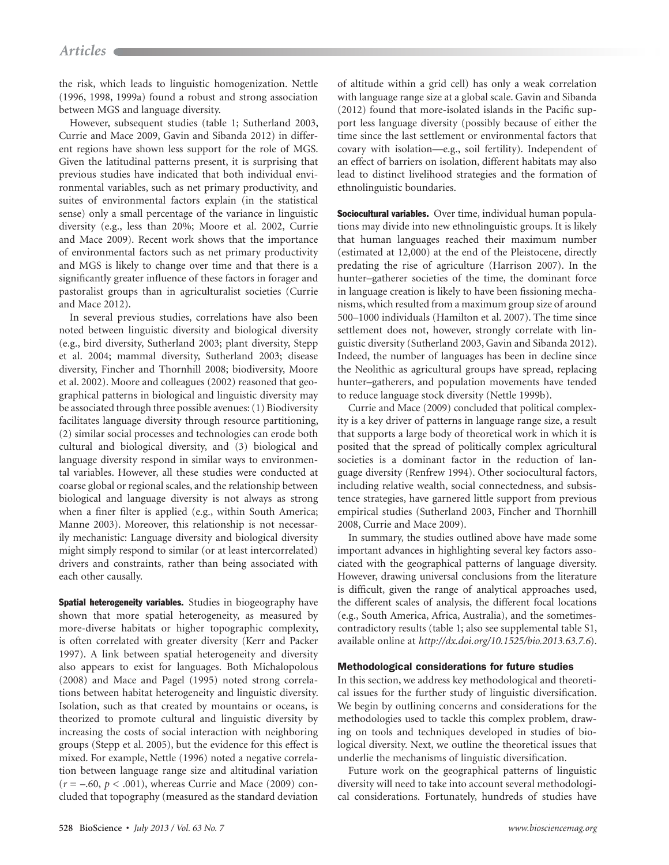the risk, which leads to linguistic homogenization. Nettle (1996, 1998, 1999a) found a robust and strong association between MGS and language diversity.

However, subsequent studies (table 1; Sutherland 2003, Currie and Mace 2009, Gavin and Sibanda 2012) in different regions have shown less support for the role of MGS. Given the latitudinal patterns present, it is surprising that previous studies have indicated that both individual environmental variables, such as net primary productivity, and suites of environmental factors explain (in the statistical sense) only a small percentage of the variance in linguistic diversity (e.g., less than 20%; Moore et al. 2002, Currie and Mace 2009). Recent work shows that the importance of environmental factors such as net primary productivity and MGS is likely to change over time and that there is a significantly greater influence of these factors in forager and pastoralist groups than in agriculturalist societies (Currie and Mace 2012).

In several previous studies, correlations have also been noted between linguistic diversity and biological diversity (e.g., bird diversity, Sutherland 2003; plant diversity, Stepp et al. 2004; mammal diversity, Sutherland 2003; disease diversity, Fincher and Thornhill 2008; biodiversity, Moore et al. 2002). Moore and colleagues (2002) reasoned that geographical patterns in biological and linguistic diversity may be associated through three possible avenues: (1) Biodiversity facilitates language diversity through resource partitioning, (2) similar social processes and technologies can erode both cultural and biological diversity, and (3) biological and language diversity respond in similar ways to environmental variables. However, all these studies were conducted at coarse global or regional scales, and the relationship between biological and language diversity is not always as strong when a finer filter is applied (e.g., within South America; Manne 2003). Moreover, this relationship is not necessarily mechanistic: Language diversity and biological diversity might simply respond to similar (or at least intercorrelated) drivers and constraints, rather than being associated with each other causally.

Spatial heterogeneity variables. Studies in biogeography have shown that more spatial heterogeneity, as measured by more-diverse habitats or higher topographic complexity, is often correlated with greater diversity (Kerr and Packer 1997). A link between spatial heterogeneity and diversity also appears to exist for languages. Both Michalopolous (2008) and Mace and Pagel (1995) noted strong correlations between habitat heterogeneity and linguistic diversity. Isolation, such as that created by mountains or oceans, is theorized to promote cultural and linguistic diversity by increasing the costs of social interaction with neighboring groups (Stepp et al. 2005), but the evidence for this effect is mixed. For example, Nettle (1996) noted a negative correlation between language range size and altitudinal variation  $(r = -.60, p < .001)$ , whereas Currie and Mace (2009) concluded that topography (measured as the standard deviation

of altitude within a grid cell) has only a weak correlation with language range size at a global scale. Gavin and Sibanda (2012) found that more-isolated islands in the Pacific support less language diversity (possibly because of either the time since the last settlement or environmental factors that covary with isolation—e.g., soil fertility). Independent of an effect of barriers on isolation, different habitats may also lead to distinct livelihood strategies and the formation of ethnolinguistic boundaries.

Sociocultural variables. Over time, individual human populations may divide into new ethnolinguistic groups. It is likely that human languages reached their maximum number (estimated at 12,000) at the end of the Pleistocene, directly predating the rise of agriculture (Harrison 2007). In the hunter–gatherer societies of the time, the dominant force in language creation is likely to have been fissioning mechanisms, which resulted from a maximum group size of around 500–1000 individuals (Hamilton et al. 2007). The time since settlement does not, however, strongly correlate with linguistic diversity (Sutherland 2003, Gavin and Sibanda 2012). Indeed, the number of languages has been in decline since the Neolithic as agricultural groups have spread, replacing hunter–gatherers, and population movements have tended to reduce language stock diversity (Nettle 1999b).

Currie and Mace (2009) concluded that political complexity is a key driver of patterns in language range size, a result that supports a large body of theoretical work in which it is posited that the spread of politically complex agricultural societies is a dominant factor in the reduction of language diversity (Renfrew 1994). Other sociocultural factors, including relative wealth, social connectedness, and subsistence strategies, have garnered little support from previous empirical studies (Sutherland 2003, Fincher and Thornhill 2008, Currie and Mace 2009).

In summary, the studies outlined above have made some important advances in highlighting several key factors associated with the geographical patterns of language diversity. However, drawing universal conclusions from the literature is difficult, given the range of analytical approaches used, the different scales of analysis, the different focal locations (e.g., South America, Africa, Australia), and the sometimescontradictory results (table 1; also see supplemental table S1, available online at *http://dx.doi.org/10.1525/bio.2013.63.7.6*).

## Methodological considerations for future studies

In this section, we address key methodological and theoretical issues for the further study of linguistic diversification. We begin by outlining concerns and considerations for the methodologies used to tackle this complex problem, drawing on tools and techniques developed in studies of biological diversity. Next, we outline the theoretical issues that underlie the mechanisms of linguistic diversification.

Future work on the geographical patterns of linguistic diversity will need to take into account several methodological considerations. Fortunately, hundreds of studies have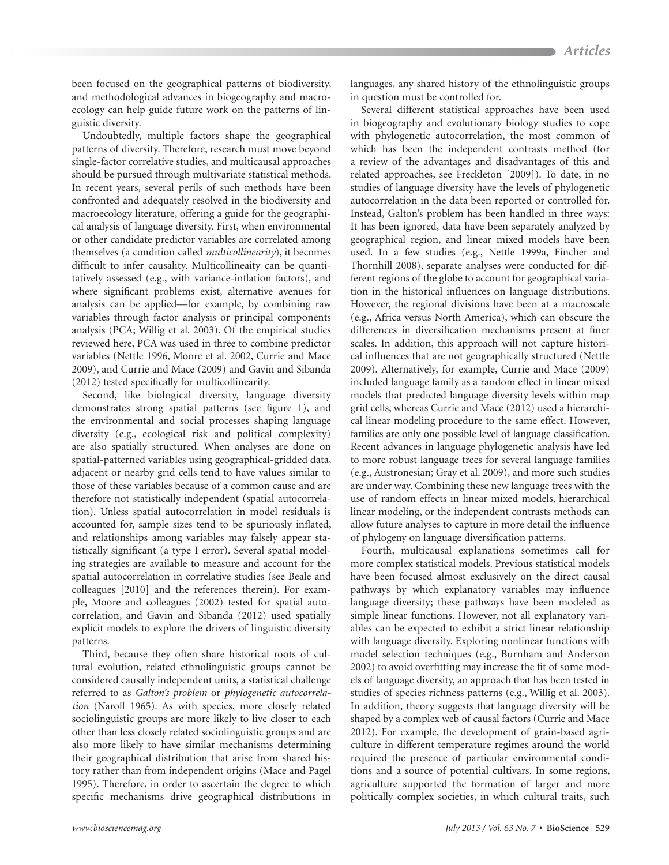been focused on the geographical patterns of biodiversity, and methodological advances in biogeography and macroecology can help guide future work on the patterns of linguistic diversity.

Undoubtedly, multiple factors shape the geographical patterns of diversity. Therefore, research must move beyond single-factor correlative studies, and multicausal approaches should be pursued through multivariate statistical methods. In recent years, several perils of such methods have been confronted and adequately resolved in the biodiversity and macroecology literature, offering a guide for the geographical analysis of language diversity. First, when environmental or other candidate predictor variables are correlated among themselves (a condition called *multicollinearity*), it becomes difficult to infer causality. Multicollineaity can be quantitatively assessed (e.g., with variance-inflation factors), and where significant problems exist, alternative avenues for analysis can be applied—for example, by combining raw variables through factor analysis or principal components analysis (PCA; Willig et al. 2003). Of the empirical studies reviewed here, PCA was used in three to combine predictor variables (Nettle 1996, Moore et al. 2002, Currie and Mace 2009), and Currie and Mace (2009) and Gavin and Sibanda (2012) tested specifically for multicollinearity.

Second, like biological diversity, language diversity demonstrates strong spatial patterns (see figure 1), and the environmental and social processes shaping language diversity (e.g., ecological risk and political complexity) are also spatially structured. When analyses are done on spatial- patterned variables using geographical-gridded data, adjacent or nearby grid cells tend to have values similar to those of these variables because of a common cause and are therefore not statistically independent (spatial autocorrelation). Unless spatial autocorrelation in model residuals is accounted for, sample sizes tend to be spuriously inflated, and relationships among variables may falsely appear statistically significant (a type I error). Several spatial modeling strategies are available to measure and account for the spatial autocorrelation in correlative studies (see Beale and colleagues [2010] and the references therein). For example, Moore and colleagues (2002) tested for spatial autocorrelation, and Gavin and Sibanda (2012) used spatially explicit models to explore the drivers of linguistic diversity patterns.

Third, because they often share historical roots of cultural evolution, related ethnolinguistic groups cannot be considered causally independent units, a statistical challenge referred to as *Galton's problem* or *phylogenetic autocorrelation* (Naroll 1965). As with species, more closely related sociolinguistic groups are more likely to live closer to each other than less closely related sociolinguistic groups and are also more likely to have similar mechanisms determining their geographical distribution that arise from shared history rather than from independent origins (Mace and Pagel 1995). Therefore, in order to ascertain the degree to which specific mechanisms drive geographical distributions in languages, any shared history of the ethnolinguistic groups in question must be controlled for.

Several different statistical approaches have been used in biogeography and evolutionary biology studies to cope with phylogenetic autocorrelation, the most common of which has been the independent contrasts method (for a review of the advantages and disadvantages of this and related approaches, see Freckleton [2009]). To date, in no studies of language diversity have the levels of phylogenetic auto correlation in the data been reported or controlled for. Instead, Galton's problem has been handled in three ways: It has been ignored, data have been separately analyzed by geographical region, and linear mixed models have been used. In a few studies (e.g., Nettle 1999a, Fincher and Thornhill 2008), separate analyses were conducted for different regions of the globe to account for geographical variation in the historical influences on language distributions. However, the regional divisions have been at a macroscale (e.g., Africa versus North America), which can obscure the differences in diversification mechanisms present at finer scales. In addition, this approach will not capture historical influences that are not geographically structured (Nettle 2009). Alternatively, for example, Currie and Mace (2009) included language family as a random effect in linear mixed models that predicted language diversity levels within map grid cells, whereas Currie and Mace (2012) used a hierarchical linear modeling procedure to the same effect. However, families are only one possible level of language classification. Recent advances in language phylogenetic analysis have led to more robust language trees for several language families (e.g., Austronesian; Gray et al. 2009), and more such studies are under way. Combining these new language trees with the use of random effects in linear mixed models, hierarchical linear modeling, or the independent contrasts methods can allow future analyses to capture in more detail the influence of phylogeny on language diversification patterns.

Fourth, multicausal explanations sometimes call for more complex statistical models. Previous statistical models have been focused almost exclusively on the direct causal pathways by which explanatory variables may influence language diversity; these pathways have been modeled as simple linear functions. However, not all explanatory variables can be expected to exhibit a strict linear relationship with language diversity. Exploring nonlinear functions with model selection techniques (e.g., Burnham and Anderson 2002) to avoid overfitting may increase the fit of some models of language diversity, an approach that has been tested in studies of species richness patterns (e.g., Willig et al. 2003). In addition, theory suggests that language diversity will be shaped by a complex web of causal factors (Currie and Mace 2012). For example, the development of grain-based agriculture in different temperature regimes around the world required the presence of particular environmental conditions and a source of potential cultivars. In some regions, agriculture supported the formation of larger and more politically complex societies, in which cultural traits, such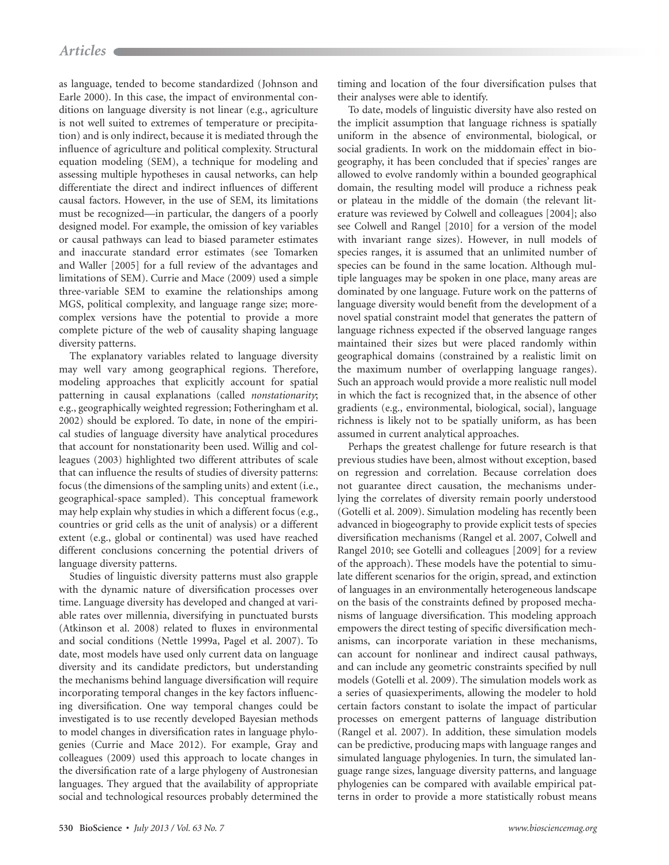as language, tended to become standardized (Johnson and Earle 2000). In this case, the impact of environmental conditions on language diversity is not linear (e.g., agriculture is not well suited to extremes of temperature or precipitation) and is only indirect, because it is mediated through the influence of agriculture and political complexity. Structural equation modeling (SEM), a technique for modeling and assessing multiple hypotheses in causal networks, can help differentiate the direct and indirect influences of different causal factors. However, in the use of SEM, its limitations must be recognized—in particular, the dangers of a poorly designed model. For example, the omission of key variables or causal pathways can lead to biased parameter estimates and inaccurate standard error estimates (see Tomarken and Waller [2005] for a full review of the advantages and limitations of SEM). Currie and Mace (2009) used a simple three-variable SEM to examine the relationships among MGS, political complexity, and language range size; morecomplex versions have the potential to provide a more complete picture of the web of causality shaping language diversity patterns.

The explanatory variables related to language diversity may well vary among geographical regions. Therefore, modeling approaches that explicitly account for spatial patterning in causal explanations (called *nonstationarity*; e.g., geographically weighted regression; Fotheringham et al. 2002) should be explored. To date, in none of the empirical studies of language diversity have analytical procedures that account for nonstationarity been used. Willig and colleagues (2003) highlighted two different attributes of scale that can influence the results of studies of diversity patterns: focus (the dimensions of the sampling units) and extent (i.e., geographical-space sampled). This conceptual framework may help explain why studies in which a different focus (e.g., countries or grid cells as the unit of analysis) or a different extent (e.g., global or continental) was used have reached different conclusions concerning the potential drivers of language diversity patterns.

Studies of linguistic diversity patterns must also grapple with the dynamic nature of diversification processes over time. Language diversity has developed and changed at variable rates over millennia, diversifying in punctuated bursts (Atkinson et al. 2008) related to fluxes in environmental and social conditions (Nettle 1999a, Pagel et al. 2007). To date, most models have used only current data on language diversity and its candidate predictors, but understanding the mechanisms behind language diversification will require incorporating temporal changes in the key factors influencing diversification. One way temporal changes could be investigated is to use recently developed Bayesian methods to model changes in diversification rates in language phylogenies (Currie and Mace 2012). For example, Gray and colleagues (2009) used this approach to locate changes in the diversification rate of a large phylogeny of Austronesian languages. They argued that the availability of appropriate social and technological resources probably determined the

timing and location of the four diversification pulses that their analyses were able to identify.

To date, models of linguistic diversity have also rested on the implicit assumption that language richness is spatially uniform in the absence of environmental, biological, or social gradients. In work on the middomain effect in biogeography, it has been concluded that if species' ranges are allowed to evolve randomly within a bounded geographical domain, the resulting model will produce a richness peak or plateau in the middle of the domain (the relevant literature was reviewed by Colwell and colleagues [2004]; also see Colwell and Rangel [2010] for a version of the model with invariant range sizes). However, in null models of species ranges, it is assumed that an unlimited number of species can be found in the same location. Although multiple languages may be spoken in one place, many areas are dominated by one language. Future work on the patterns of language diversity would benefit from the development of a novel spatial constraint model that generates the pattern of language richness expected if the observed language ranges maintained their sizes but were placed randomly within geographical domains (constrained by a realistic limit on the maximum number of overlapping language ranges). Such an approach would provide a more realistic null model in which the fact is recognized that, in the absence of other gradients (e.g., environmental, biological, social), language richness is likely not to be spatially uniform, as has been assumed in current analytical approaches.

Perhaps the greatest challenge for future research is that previous studies have been, almost without exception, based on regression and correlation. Because correlation does not guarantee direct causation, the mechanisms underlying the correlates of diversity remain poorly understood (Gotelli et al. 2009). Simulation modeling has recently been advanced in biogeography to provide explicit tests of species diversification mechanisms (Rangel et al. 2007, Colwell and Rangel 2010; see Gotelli and colleagues [2009] for a review of the approach). These models have the potential to simulate different scenarios for the origin, spread, and extinction of languages in an environmentally heterogeneous landscape on the basis of the constraints defined by proposed mechanisms of language diversification. This modeling approach empowers the direct testing of specific diversification mechanisms, can incorporate variation in these mechanisms, can account for nonlinear and indirect causal pathways, and can include any geometric constraints specified by null models (Gotelli et al. 2009). The simulation models work as a series of quasiexperiments, allowing the modeler to hold certain factors constant to isolate the impact of particular processes on emergent patterns of language distribution (Rangel et al. 2007). In addition, these simulation models can be predictive, producing maps with language ranges and simulated language phylogenies. In turn, the simulated language range sizes, language diversity patterns, and language phylogenies can be compared with available empirical patterns in order to provide a more statistically robust means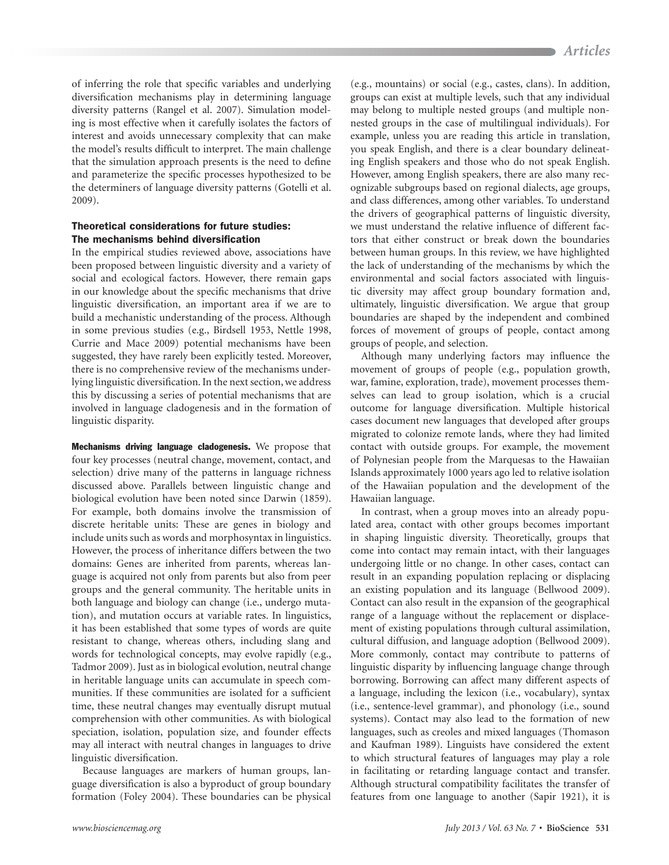of inferring the role that specific variables and underlying diversification mechanisms play in determining language diversity patterns (Rangel et al. 2007). Simulation modeling is most effective when it carefully isolates the factors of interest and avoids unnecessary complexity that can make the model's results difficult to interpret. The main challenge that the simulation approach presents is the need to define and parameterize the specific processes hypothesized to be the determiners of language diversity patterns (Gotelli et al. 2009).

# Theoretical considerations for future studies: The mechanisms behind diversification

In the empirical studies reviewed above, associations have been proposed between linguistic diversity and a variety of social and ecological factors. However, there remain gaps in our knowledge about the specific mechanisms that drive linguistic diversification, an important area if we are to build a mechanistic understanding of the process. Although in some previous studies (e.g., Birdsell 1953, Nettle 1998, Currie and Mace 2009) potential mechanisms have been suggested, they have rarely been explicitly tested. Moreover, there is no comprehensive review of the mechanisms underlying linguistic diversification. In the next section, we address this by discussing a series of potential mechanisms that are involved in language cladogenesis and in the formation of linguistic disparity.

Mechanisms driving language cladogenesis. We propose that four key processes (neutral change, movement, contact, and selection) drive many of the patterns in language richness discussed above. Parallels between linguistic change and biological evolution have been noted since Darwin (1859). For example, both domains involve the transmission of discrete heritable units: These are genes in biology and include units such as words and morphosyntax in linguistics. However, the process of inheritance differs between the two domains: Genes are inherited from parents, whereas language is acquired not only from parents but also from peer groups and the general community. The heritable units in both language and biology can change (i.e., undergo mutation), and mutation occurs at variable rates. In linguistics, it has been established that some types of words are quite resistant to change, whereas others, including slang and words for technological concepts, may evolve rapidly (e.g., Tadmor 2009). Just as in biological evolution, neutral change in heritable language units can accumulate in speech communities. If these communities are isolated for a sufficient time, these neutral changes may eventually disrupt mutual comprehension with other communities. As with biological speciation, isolation, population size, and founder effects may all interact with neutral changes in languages to drive linguistic diversification.

Because languages are markers of human groups, language diversification is also a byproduct of group boundary formation (Foley 2004). These boundaries can be physical (e.g., mountains) or social (e.g., castes, clans). In addition, groups can exist at multiple levels, such that any individual may belong to multiple nested groups (and multiple nonnested groups in the case of multilingual individuals). For example, unless you are reading this article in translation, you speak English, and there is a clear boundary delineating English speakers and those who do not speak English. However, among English speakers, there are also many recognizable subgroups based on regional dialects, age groups, and class differences, among other variables. To understand the drivers of geographical patterns of linguistic diversity, we must understand the relative influence of different factors that either construct or break down the boundaries between human groups. In this review, we have highlighted the lack of understanding of the mechanisms by which the environmental and social factors associated with linguistic diversity may affect group boundary formation and, ultimately, linguistic diversification. We argue that group boundaries are shaped by the independent and combined forces of movement of groups of people, contact among groups of people, and selection.

Although many underlying factors may influence the movement of groups of people (e.g., population growth, war, famine, exploration, trade), movement processes themselves can lead to group isolation, which is a crucial outcome for language diversification. Multiple historical cases document new languages that developed after groups migrated to colonize remote lands, where they had limited contact with outside groups. For example, the movement of Polynesian people from the Marquesas to the Hawaiian Islands approximately 1000 years ago led to relative isolation of the Hawaiian population and the development of the Hawaiian language.

In contrast, when a group moves into an already populated area, contact with other groups becomes important in shaping linguistic diversity. Theoretically, groups that come into contact may remain intact, with their languages undergoing little or no change. In other cases, contact can result in an expanding population replacing or displacing an existing population and its language (Bellwood 2009). Contact can also result in the expansion of the geographical range of a language without the replacement or displacement of existing populations through cultural assimilation, cultural diffusion, and language adoption (Bellwood 2009). More commonly, contact may contribute to patterns of linguistic disparity by influencing language change through borrowing. Borrowing can affect many different aspects of a language, including the lexicon (i.e., vocabulary), syntax (i.e., sentence-level grammar), and phonology (i.e., sound systems). Contact may also lead to the formation of new languages, such as creoles and mixed languages (Thomason and Kaufman 1989). Linguists have considered the extent to which structural features of languages may play a role in facilitating or retarding language contact and transfer. Although structural compatibility facilitates the transfer of features from one language to another (Sapir 1921), it is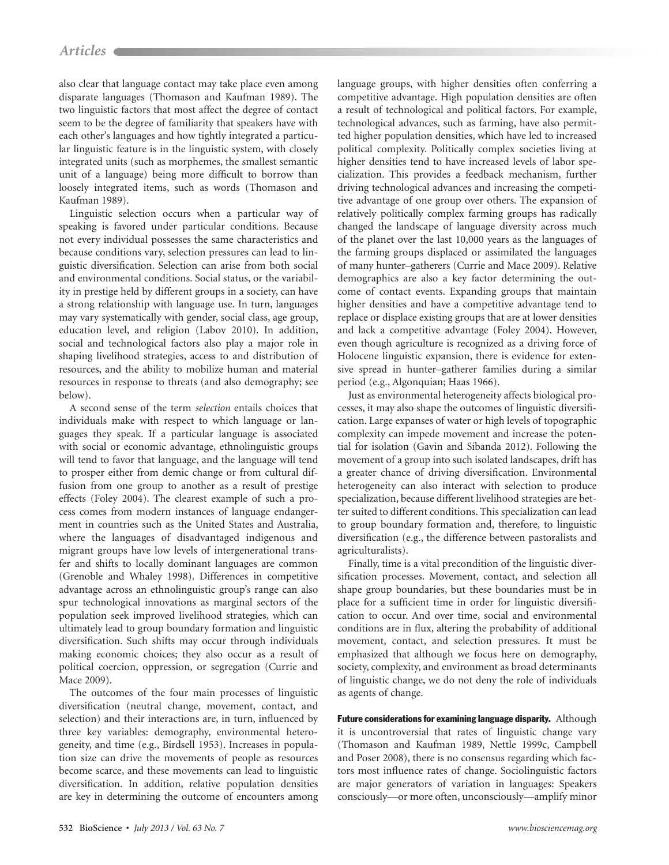also clear that language contact may take place even among disparate languages (Thomason and Kaufman 1989). The two linguistic factors that most affect the degree of contact seem to be the degree of familiarity that speakers have with each other's languages and how tightly integrated a particular linguistic feature is in the linguistic system, with closely integrated units (such as morphemes, the smallest semantic unit of a language) being more difficult to borrow than loosely integrated items, such as words (Thomason and Kaufman 1989).

Linguistic selection occurs when a particular way of speaking is favored under particular conditions. Because not every individual possesses the same characteristics and because conditions vary, selection pressures can lead to linguistic diversification. Selection can arise from both social and environmental conditions. Social status, or the variability in prestige held by different groups in a society, can have a strong relationship with language use. In turn, languages may vary systematically with gender, social class, age group, education level, and religion (Labov 2010). In addition, social and technological factors also play a major role in shaping livelihood strategies, access to and distribution of resources, and the ability to mobilize human and material resources in response to threats (and also demography; see below).

A second sense of the term *selection* entails choices that individuals make with respect to which language or languages they speak. If a particular language is associated with social or economic advantage, ethnolinguistic groups will tend to favor that language, and the language will tend to prosper either from demic change or from cultural diffusion from one group to another as a result of prestige effects (Foley 2004). The clearest example of such a process comes from modern instances of language endangerment in countries such as the United States and Australia, where the languages of disadvantaged indigenous and migrant groups have low levels of intergenerational transfer and shifts to locally dominant languages are common (Grenoble and Whaley 1998). Differences in competitive advantage across an ethnolinguistic group's range can also spur technological innovations as marginal sectors of the population seek improved livelihood strategies, which can ultimately lead to group boundary formation and linguistic diversification. Such shifts may occur through individuals making economic choices; they also occur as a result of political coercion, oppression, or segregation (Currie and Mace 2009).

The outcomes of the four main processes of linguistic diversification (neutral change, movement, contact, and selection) and their interactions are, in turn, influenced by three key variables: demography, environmental heterogeneity, and time (e.g., Birdsell 1953). Increases in population size can drive the movements of people as resources become scarce, and these movements can lead to linguistic diversification. In addition, relative population densities are key in determining the outcome of encounters among language groups, with higher densities often conferring a competitive advantage. High population densities are often a result of technological and political factors. For example, technological advances, such as farming, have also permitted higher population densities, which have led to increased political complexity. Politically complex societies living at higher densities tend to have increased levels of labor specialization. This provides a feedback mechanism, further driving technological advances and increasing the competitive advantage of one group over others. The expansion of relatively politically complex farming groups has radically changed the landscape of language diversity across much of the planet over the last 10,000 years as the languages of the farming groups displaced or assimilated the languages of many hunter–gatherers (Currie and Mace 2009). Relative demographics are also a key factor determining the outcome of contact events. Expanding groups that maintain higher densities and have a competitive advantage tend to replace or displace existing groups that are at lower densities and lack a competitive advantage (Foley 2004). However, even though agriculture is recognized as a driving force of Holocene linguistic expansion, there is evidence for extensive spread in hunter–gatherer families during a similar period (e.g., Algonquian; Haas 1966).

Just as environmental heterogeneity affects biological processes, it may also shape the outcomes of linguistic diversification. Large expanses of water or high levels of topographic complexity can impede movement and increase the potential for isolation (Gavin and Sibanda 2012). Following the movement of a group into such isolated landscapes, drift has a greater chance of driving diversification. Environmental heterogeneity can also interact with selection to produce specialization, because different livelihood strategies are better suited to different conditions. This specialization can lead to group boundary formation and, therefore, to linguistic diversification (e.g., the difference between pastoralists and agriculturalists).

Finally, time is a vital precondition of the linguistic diversification processes. Movement, contact, and selection all shape group boundaries, but these boundaries must be in place for a sufficient time in order for linguistic diversification to occur. And over time, social and environmental conditions are in flux, altering the probability of additional movement, contact, and selection pressures. It must be emphasized that although we focus here on demography, society, complexity, and environment as broad determinants of linguistic change, we do not deny the role of individuals as agents of change.

Future considerations for examining language disparity. Although it is uncontroversial that rates of linguistic change vary (Thomason and Kaufman 1989, Nettle 1999c, Campbell and Poser 2008), there is no consensus regarding which factors most influence rates of change. Sociolinguistic factors are major generators of variation in languages: Speakers consciously—or more often, unconsciously—amplify minor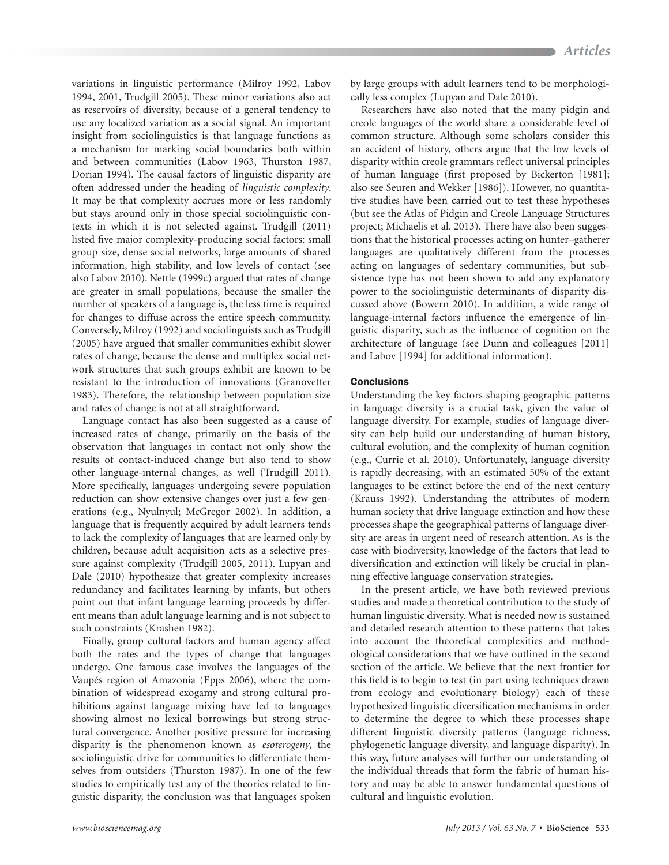variations in linguistic performance (Milroy 1992, Labov 1994, 2001, Trudgill 2005). These minor variations also act as reservoirs of diversity, because of a general tendency to use any localized variation as a social signal. An important insight from sociolinguistics is that language functions as a mechanism for marking social boundaries both within and between communities (Labov 1963, Thurston 1987, Dorian 1994). The causal factors of linguistic disparity are often addressed under the heading of *linguistic complexity*. It may be that complexity accrues more or less randomly but stays around only in those special sociolinguistic contexts in which it is not selected against. Trudgill (2011) listed five major complexity-producing social factors: small group size, dense social networks, large amounts of shared information, high stability, and low levels of contact (see also Labov 2010). Nettle (1999c) argued that rates of change are greater in small populations, because the smaller the number of speakers of a language is, the less time is required for changes to diffuse across the entire speech community. Conversely, Milroy (1992) and sociolinguists such as Trudgill (2005) have argued that smaller communities exhibit slower rates of change, because the dense and multiplex social network structures that such groups exhibit are known to be resistant to the introduction of innovations (Granovetter 1983). Therefore, the relationship between population size and rates of change is not at all straightforward.

Language contact has also been suggested as a cause of increased rates of change, primarily on the basis of the observation that languages in contact not only show the results of contact-induced change but also tend to show other language-internal changes, as well (Trudgill 2011). More specifically, languages undergoing severe population reduction can show extensive changes over just a few generations (e.g., Nyulnyul; McGregor 2002). In addition, a language that is frequently acquired by adult learners tends to lack the complexity of languages that are learned only by children, because adult acquisition acts as a selective pressure against complexity (Trudgill 2005, 2011). Lupyan and Dale (2010) hypothesize that greater complexity increases redundancy and facilitates learning by infants, but others point out that infant language learning proceeds by different means than adult language learning and is not subject to such constraints (Krashen 1982).

Finally, group cultural factors and human agency affect both the rates and the types of change that languages undergo. One famous case involves the languages of the Vaupés region of Amazonia (Epps 2006), where the combination of widespread exogamy and strong cultural prohibitions against language mixing have led to languages showing almost no lexical borrowings but strong structural convergence. Another positive pressure for increasing disparity is the phenomenon known as *esoterogeny*, the sociolinguistic drive for communities to differentiate themselves from outsiders (Thurston 1987). In one of the few studies to empirically test any of the theories related to linguistic disparity, the conclusion was that languages spoken by large groups with adult learners tend to be morphologically less complex (Lupyan and Dale 2010).

Researchers have also noted that the many pidgin and creole languages of the world share a considerable level of common structure. Although some scholars consider this an accident of history, others argue that the low levels of disparity within creole grammars reflect universal principles of human language (first proposed by Bickerton [1981]; also see Seuren and Wekker [1986]). However, no quantitative studies have been carried out to test these hypotheses (but see the Atlas of Pidgin and Creole Language Structures project; Michaelis et al. 2013). There have also been suggestions that the historical processes acting on hunter–gatherer languages are qualitatively different from the processes acting on languages of sedentary communities, but subsistence type has not been shown to add any explanatory power to the sociolinguistic determinants of disparity discussed above (Bowern 2010). In addition, a wide range of language-internal factors influence the emergence of linguistic disparity, such as the influence of cognition on the architecture of language (see Dunn and colleagues [2011] and Labov [1994] for additional information).

## **Conclusions**

Understanding the key factors shaping geographic patterns in language diversity is a crucial task, given the value of language diversity. For example, studies of language diversity can help build our understanding of human history, cultural evolution, and the complexity of human cognition (e.g., Currie et al. 2010). Unfortunately, language diversity is rapidly decreasing, with an estimated 50% of the extant languages to be extinct before the end of the next century (Krauss 1992). Understanding the attributes of modern human society that drive language extinction and how these processes shape the geographical patterns of language diversity are areas in urgent need of research attention. As is the case with biodiversity, knowledge of the factors that lead to diversification and extinction will likely be crucial in planning effective language conservation strategies.

In the present article, we have both reviewed previous studies and made a theoretical contribution to the study of human linguistic diversity. What is needed now is sustained and detailed research attention to these patterns that takes into account the theoretical complexities and methodological considerations that we have outlined in the second section of the article. We believe that the next frontier for this field is to begin to test (in part using techniques drawn from ecology and evolutionary biology) each of these hypothesized linguistic diversification mechanisms in order to determine the degree to which these processes shape different linguistic diversity patterns (language richness, phylogenetic language diversity, and language disparity). In this way, future analyses will further our understanding of the individual threads that form the fabric of human history and may be able to answer fundamental questions of cultural and linguistic evolution.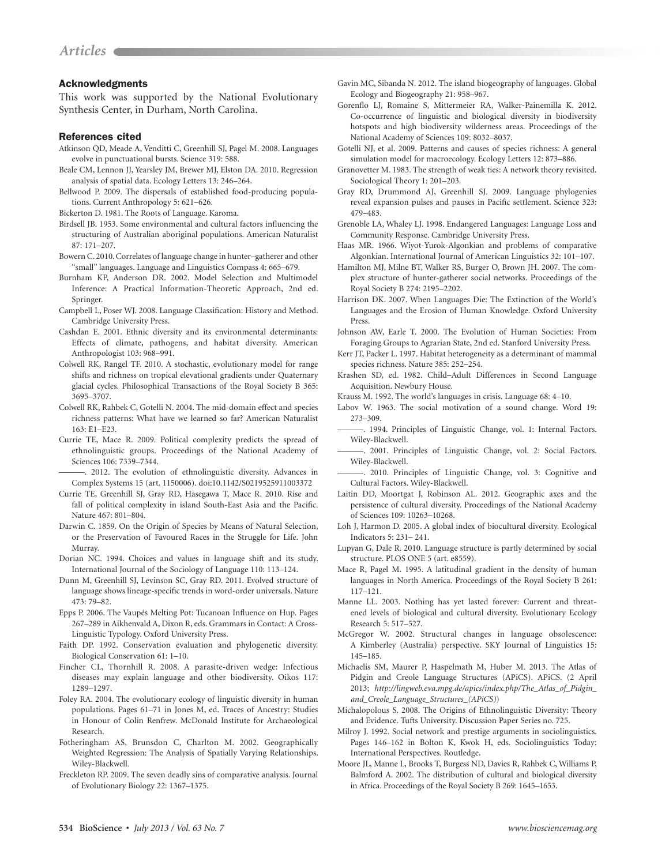## Acknowledgments

This work was supported by the National Evolutionary Synthesis Center, in Durham, North Carolina.

## References cited

- Atkinson QD, Meade A, Venditti C, Greenhill SJ, Pagel M. 2008. Languages evolve in punctuational bursts. Science 319: 588.
- Beale CM, Lennon JJ, Yearsley JM, Brewer MJ, Elston DA. 2010. Regression analysis of spatial data. Ecology Letters 13: 246–264.
- Bellwood P. 2009. The dispersals of established food-producing populations. Current Anthropology 5: 621–626.
- Bickerton D. 1981. The Roots of Language. Karoma.
- Birdsell JB. 1953. Some environmental and cultural factors influencing the structuring of Australian aboriginal populations. American Naturalist 87: 171–207.
- Bowern C. 2010. Correlates of language change in hunter–gatherer and other "small" languages. Language and Linguistics Compass 4: 665–679.
- Burnham KP, Anderson DR. 2002. Model Selection and Multimodel Inference: A Practical Information-Theoretic Approach, 2nd ed. Springer.
- Campbell L, Poser WJ. 2008. Language Classification: History and Method. Cambridge University Press.
- Cashdan E. 2001. Ethnic diversity and its environmental determinants: Effects of climate, pathogens, and habitat diversity. American Anthropologist 103: 968–991.
- Colwell RK, Rangel TF. 2010. A stochastic, evolutionary model for range shifts and richness on tropical elevational gradients under Quaternary glacial cycles. Philosophical Transactions of the Royal Society B 365: 3695–3707.
- Colwell RK, Rahbek C, Gotelli N. 2004. The mid-domain effect and species richness patterns: What have we learned so far? American Naturalist 163: E1–E23.
- Currie TE, Mace R. 2009. Political complexity predicts the spread of ethnolinguistic groups. Proceedings of the National Academy of Sciences 106: 7339–7344.
- ———. 2012. The evolution of ethnolinguistic diversity. Advances in Complex Systems 15 (art. 1150006). doi:10.1142/S0219525911003372
- Currie TE, Greenhill SJ, Gray RD, Hasegawa T, Mace R. 2010. Rise and fall of political complexity in island South-East Asia and the Pacific. Nature 467: 801–804.
- Darwin C. 1859. On the Origin of Species by Means of Natural Selection, or the Preservation of Favoured Races in the Struggle for Life. John Murray.
- Dorian NC. 1994. Choices and values in language shift and its study. International Journal of the Sociology of Language 110: 113–124.
- Dunn M, Greenhill SJ, Levinson SC, Gray RD. 2011. Evolved structure of language shows lineage-specific trends in word-order universals. Nature 473: 79–82.
- Epps P. 2006. The Vaupés Melting Pot: Tucanoan Influence on Hup. Pages 267–289 in Aikhenvald A, Dixon R, eds. Grammars in Contact: A Cross-Linguistic Typology. Oxford University Press.
- Faith DP. 1992. Conservation evaluation and phylogenetic diversity. Biological Conservation 61: 1–10.
- Fincher CL, Thornhill R. 2008. A parasite-driven wedge: Infectious diseases may explain language and other biodiversity. Oikos 117: 1289–1297.
- Foley RA. 2004. The evolutionary ecology of linguistic diversity in human populations. Pages 61–71 in Jones M, ed. Traces of Ancestry: Studies in Honour of Colin Renfrew. McDonald Institute for Archaeological Research.
- Fotheringham AS, Brunsdon C, Charlton M. 2002. Geographically Weighted Regression: The Analysis of Spatially Varying Relationships. Wiley-Blackwell.
- Freckleton RP. 2009. The seven deadly sins of comparative analysis. Journal of Evolutionary Biology 22: 1367–1375.
- Gavin MC, Sibanda N. 2012. The island biogeography of languages. Global Ecology and Biogeography 21: 958–967.
- Gorenflo LJ, Romaine S, Mittermeier RA, Walker-Painemilla K. 2012. Co-occurrence of linguistic and biological diversity in biodiversity hotspots and high biodiversity wilderness areas. Proceedings of the National Academy of Sciences 109: 8032–8037.
- Gotelli NJ, et al. 2009. Patterns and causes of species richness: A general simulation model for macroecology. Ecology Letters 12: 873–886.
- Granovetter M. 1983. The strength of weak ties: A network theory revisited. Sociological Theory 1: 201–203.
- Gray RD, Drummond AJ, Greenhill SJ. 2009. Language phylogenies reveal expansion pulses and pauses in Pacific settlement. Science 323: 479–483.
- Grenoble LA, Whaley LJ. 1998. Endangered Languages: Language Loss and Community Response. Cambridge University Press.
- Haas MR. 1966. Wiyot-Yurok-Algonkian and problems of comparative Algonkian. International Journal of American Linguistics 32: 101–107.
- Hamilton MJ, Milne BT, Walker RS, Burger O, Brown JH. 2007. The complex structure of hunter-gatherer social networks. Proceedings of the Royal Society B 274: 2195–2202.
- Harrison DK. 2007. When Languages Die: The Extinction of the World's Languages and the Erosion of Human Knowledge. Oxford University Press.
- Johnson AW, Earle T. 2000. The Evolution of Human Societies: From Foraging Groups to Agrarian State, 2nd ed. Stanford University Press.
- Kerr JT, Packer L. 1997. Habitat heterogeneity as a determinant of mammal species richness. Nature 385: 252–254.
- Krashen SD, ed. 1982. Child–Adult Differences in Second Language Acquisition. Newbury House.
- Krauss M. 1992. The world's languages in crisis. Language 68: 4–10.
- Labov W. 1963. The social motivation of a sound change. Word 19: 273–309.
- ———. 1994. Principles of Linguistic Change, vol. 1: Internal Factors. Wiley-Blackwell.
- ———. 2001. Principles of Linguistic Change, vol. 2: Social Factors. Wiley-Blackwell.
- ———. 2010. Principles of Linguistic Change, vol. 3: Cognitive and Cultural Factors. Wiley-Blackwell.
- Laitin DD, Moortgat J, Robinson AL. 2012. Geographic axes and the persistence of cultural diversity. Proceedings of the National Academy of Sciences 109: 10263–10268.
- Loh J, Harmon D. 2005. A global index of biocultural diversity. Ecological Indicators 5: 231– 241.
- Lupyan G, Dale R. 2010. Language structure is partly determined by social structure. PLOS ONE 5 (art. e8559).
- Mace R, Pagel M. 1995. A latitudinal gradient in the density of human languages in North America. Proceedings of the Royal Society B 261: 117–121.
- Manne LL. 2003. Nothing has yet lasted forever: Current and threatened levels of biological and cultural diversity. Evolutionary Ecology Research 5: 517–527.
- McGregor W. 2002. Structural changes in language obsolescence: A Kimberley (Australia) perspective. SKY Journal of Linguistics 15: 145–185.
- Michaelis SM, Maurer P, Haspelmath M, Huber M. 2013. The Atlas of Pidgin and Creole Language Structures (APiCS). APiCS. (2 April 2013; *http://lingweb.eva.mpg.de/apics/index.php/The\_Atlas\_of\_Pidgin\_ and\_Creole\_Language\_Structures\_(APiCS)*)
- Michalopolous S. 2008. The Origins of Ethnolinguistic Diversity: Theory and Evidence. Tufts University. Discussion Paper Series no. 725.
- Milroy J. 1992. Social network and prestige arguments in sociolinguistics. Pages 146–162 in Bolton K, Kwok H, eds. Sociolinguistics Today: International Perspectives. Routledge.
- Moore JL, Manne L, Brooks T, Burgess ND, Davies R, Rahbek C, Williams P, Balmford A. 2002. The distribution of cultural and biological diversity in Africa. Proceedings of the Royal Society B 269: 1645–1653.